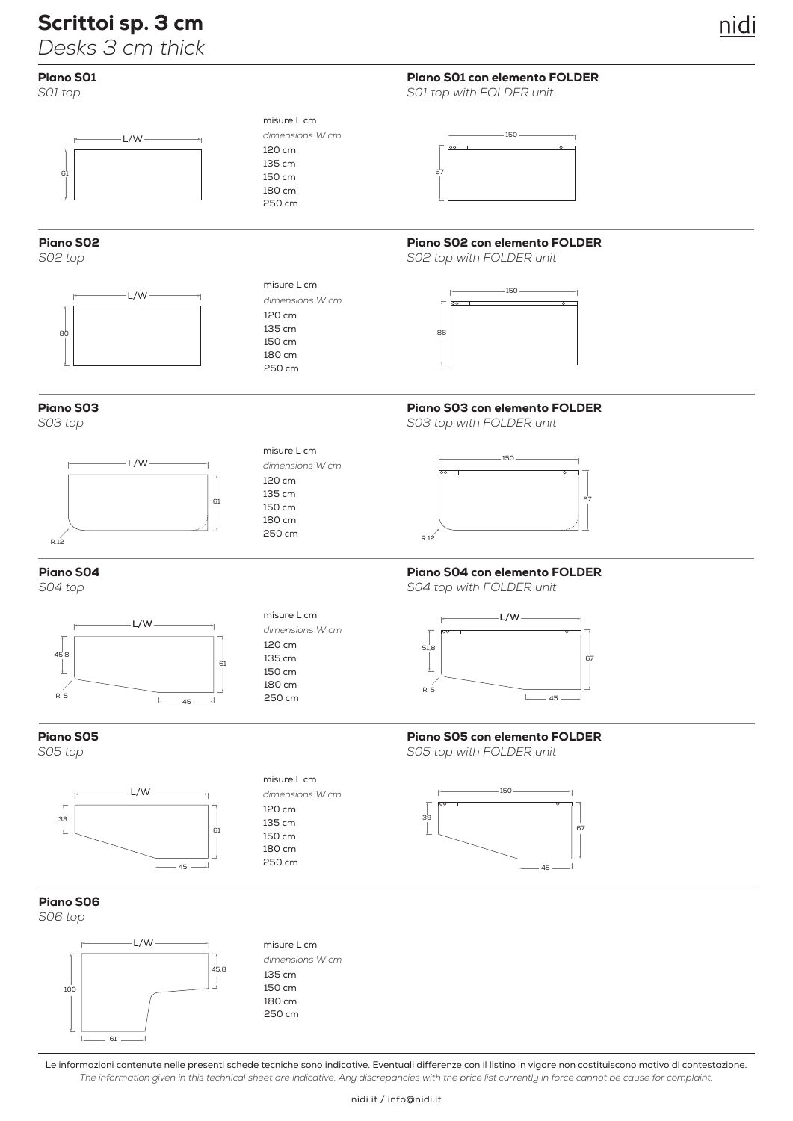# Scrittoi sp. 3 cm

*Desks 3 cm thick*

# Piano S01

*S01 top*



# Piano S02

Piano S03

*S03 top*

*S02 top*



L/W

61

61

J)

 $-45 -$ 

 $\mathbb{L}$ 

### misure L cm 120 cm 135 cm 150 cm 180 cm 250 cm *dimensions W cm*

misure L cm

*dimensions W cm*

120 cm 135 cm 150 cm 180 cm 250 cm

misure L cm

*dimensions W cm*

misure L cm

*dimensions W cm*

120 cm 135 cm 150 cm 180 cm 250 cm

120 cm 135 cm 150 cm 180 cm 250 cm

misure L cm

*dimensions W cm*

120 cm 135 cm 150 cm 180 cm 250 cm



Piano S01 con elemento FOLDER

*S01 top with FOLDER unit*

# Piano S02 con elemento FOLDER

*S02 top with FOLDER unit*



# Piano S03 con elemento FOLDER

*S03 top with FOLDER unit*



# Piano S04 con elemento FOLDER

*S04 top with FOLDER unit*



# Piano S05 con elemento FOLDER

*S05 top with FOLDER unit*



 $45s$ 

Piano S04

*S04 top*

 $R. 5$ 

Piano S05

*S05 top*



## Piano S06

*S06 top*

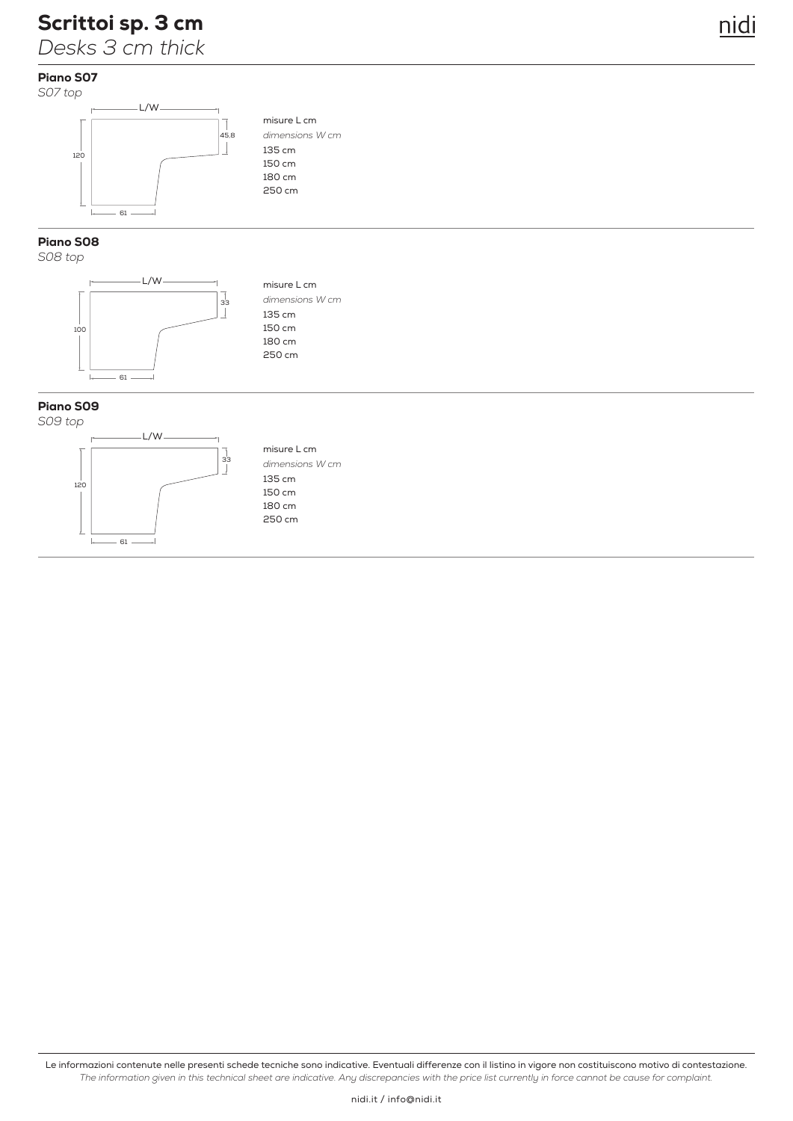# Scrittoi sp. 3 cm

*Desks 3 cm thick*

# Piano S07



# Piano S08

*S08 top*



misure L cm 135 cm 150 cm 180 cm 250 cm *dimensions W cm*

misure L cm

*dimensions W cm*

nidi

135 cm 150 cm 180 cm 250 cm

## Piano S09





misure L cm 135 cm 150 cm 180 cm 250 cm *dimensions W cm*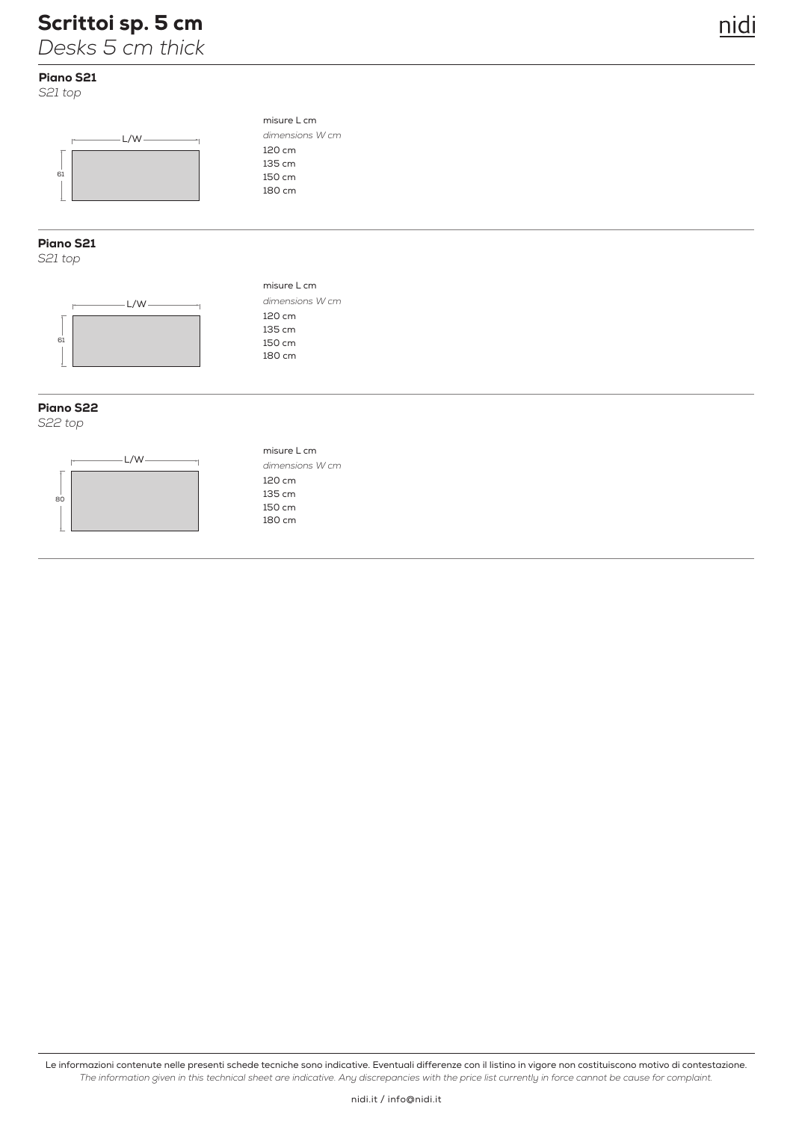# Scrittoi sp. 5 cm

*Desks 5 cm thick*

# Piano S21

*S21 top*



## Piano S21

*S21 top*



## Piano S22

*S22 top*



misure L cm 120 cm 135 cm 150 cm 180 cm *dimensions W cm*

misure L cm

*dimensions W cm*

nidi

misure L cm

*dimensions W cm*

120 cm 135 cm 150 cm 180 cm

120 cm 135 cm 150 cm 180 cm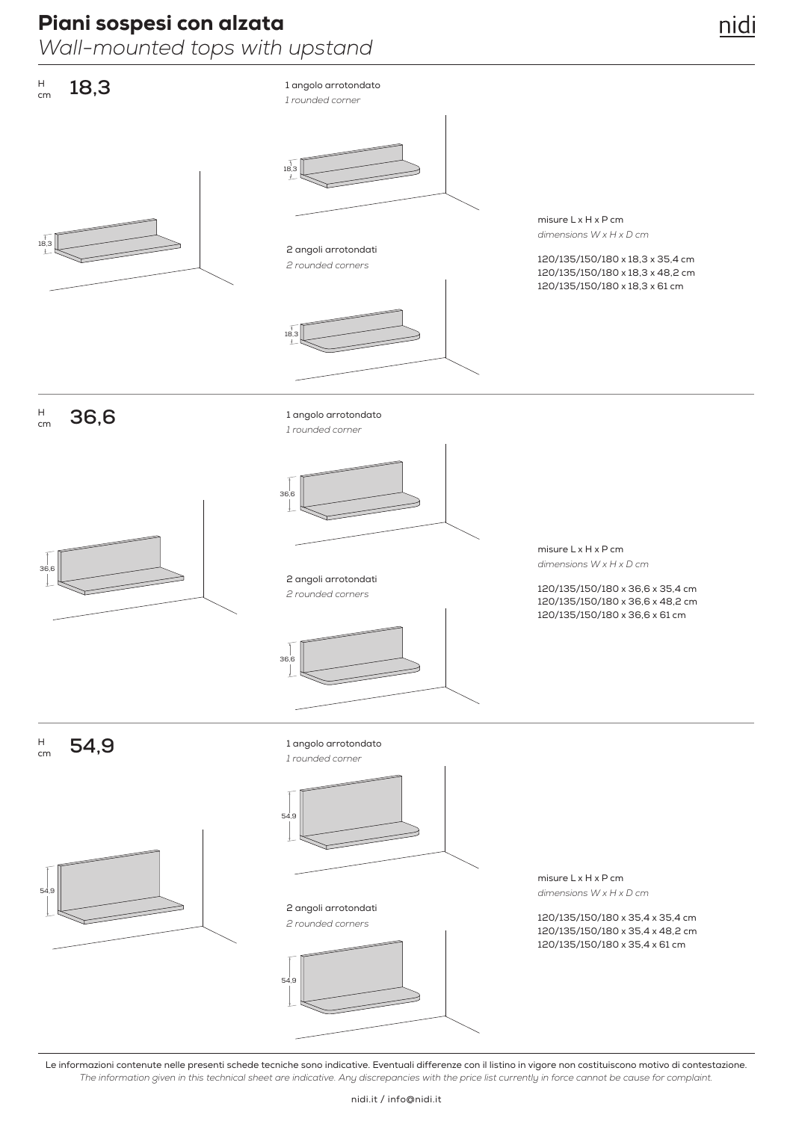# Piani sospesi con alzata

*Wall-mounted tops with upstand*

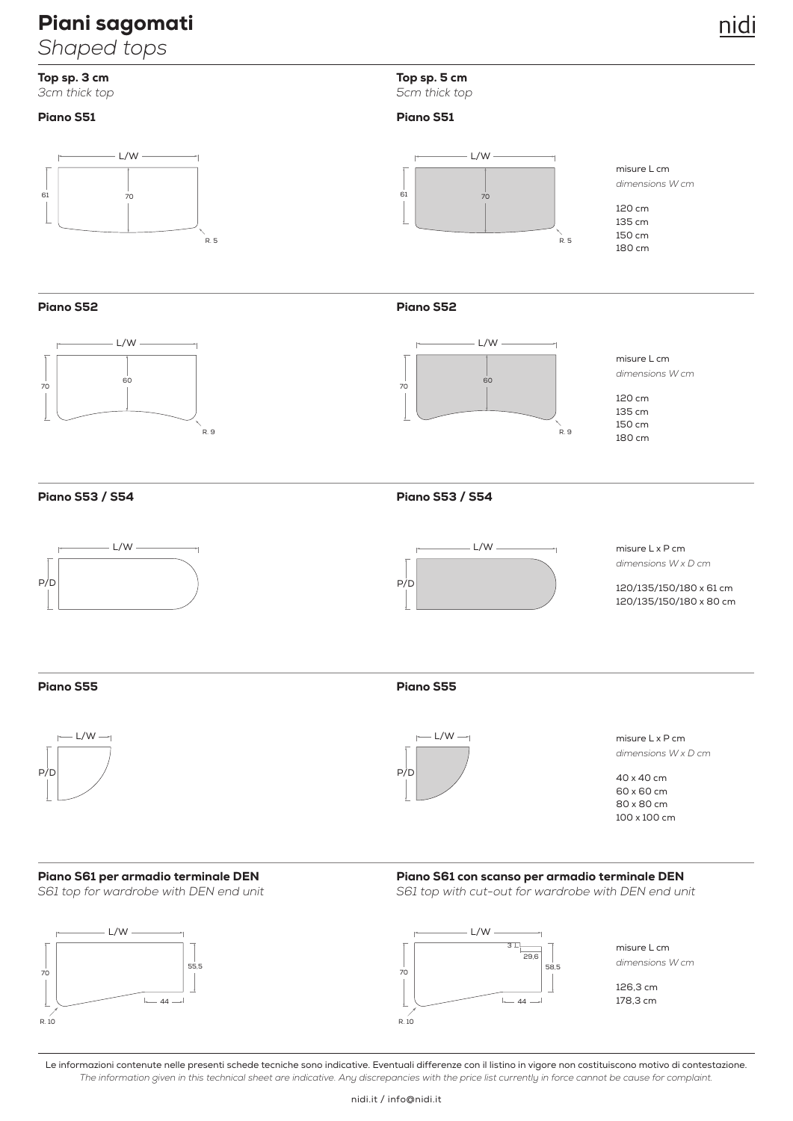# Piani sagomati

*Shaped tops*

*3cm thick top 5cm thick top*

# Piano S51



Top sp. 3 cm Top sp. 5 cm

## Piano S51



Piano S52



Piano S52



misure L cm *dimensions W cm*

120 cm 135 cm 150 cm 180 cm

Piano S53 / S54





Piano S53 / S54

misure L x P cm *dimensions W x D cm*

120/135/150/180 x 61 cm 120/135/150/180 x 80 cm

Piano S55



## Piano S55



misure L x P cm *dimensions W x D cm*

40 x 40 cm 60 x 60 cm 80 x 80 cm 100 x 100 cm

# **Piano S61 per armadio terminale DEN**<br>S61 top for wardrobe with DEN end unit



Piano S61 con scanso per armadio terminale DEN

S61 top with cut-out for wardrobe with DEN end unit



Le informazioni contenute nelle presenti schede tecniche sono indicative. Eventuali differenze con il listino in vigore non costituiscono motivo di contestazione. *The information given in this technical sheet are indicative. Any discrepancies with the price list currently in force cannot be cause for complaint.*

nidi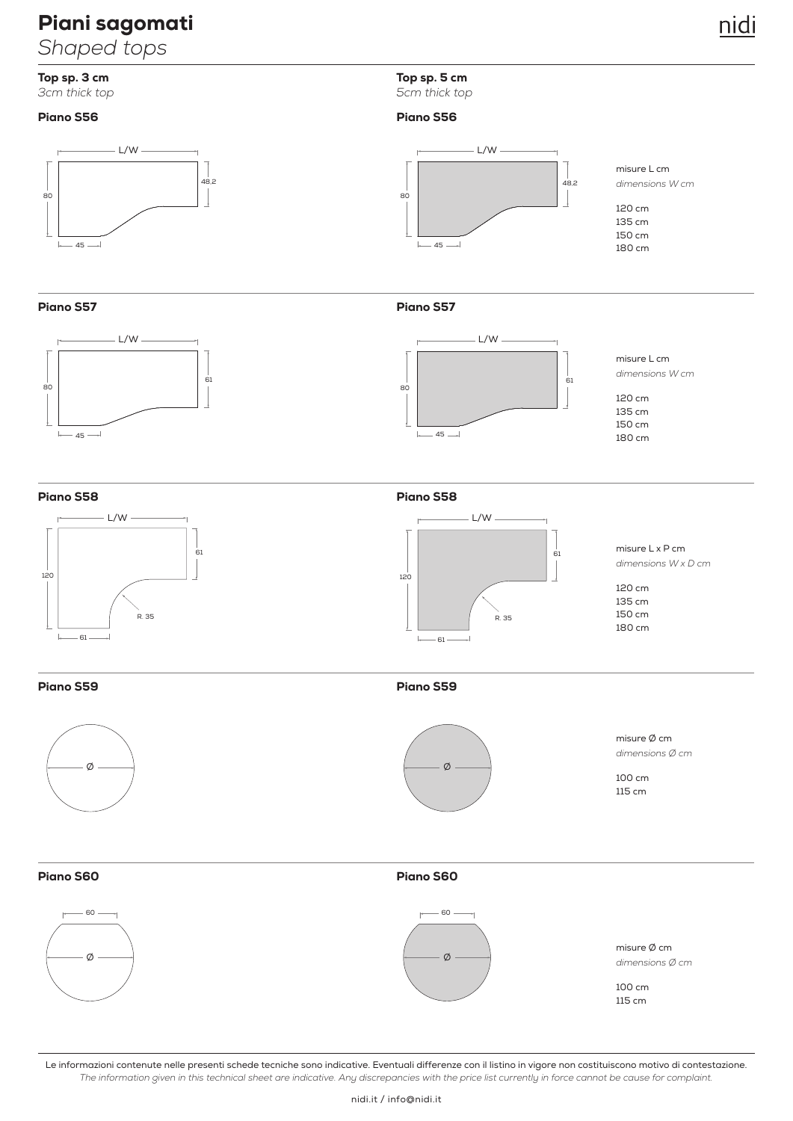# Piani sagomati

*Shaped tops*

# Top sp. 3 cm Top sp. 5 cm

*3cm thick top 5cm thick top*

## Piano S56



Piano S57



Piano S57

 $-45$ 

 $\mathsf{L}$ 

 $\sim$ 

Piano S56

80



L/W

misure L cm *dimensions W cm*

120 cm 135 cm 150 cm 180 cm

120 cm 135 cm 150 cm 180 cm

misure L cm

*dimensions W cm*

 $48,2$ 

Piano S58





misure L x P cm *dimensions W x D cm*

120 cm 135 cm 150 cm 180 cm

Piano S59





Piano S59

misure Ø cm *dimensions Ø cm* 

100 cm 115 cm

# Piano S60



# Piano S60



*dimensions Ø cm* 

115 cm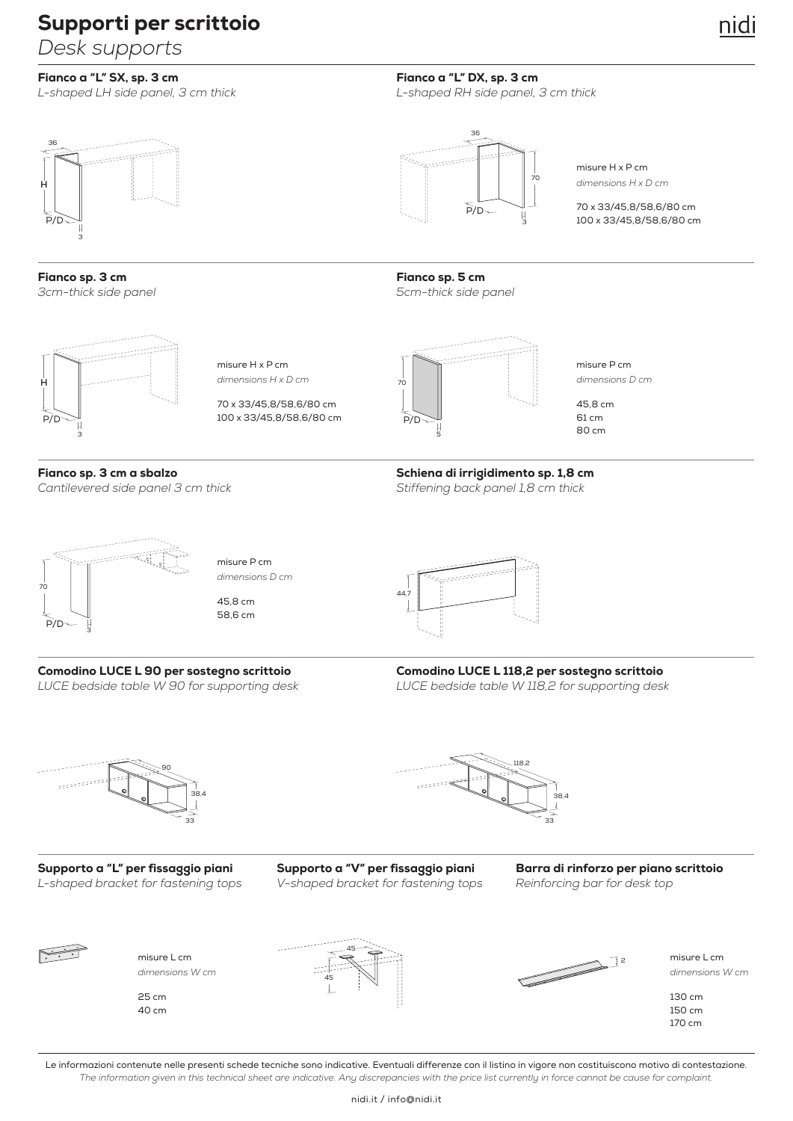# Supporti per scrittoio

*Desk supports*

# Fianco a "L" SX, sp. 3 cm

*L-shaped LH side panel, 3 cm thick*

# 36  $- - - -$ **H** P/D 3

Fianco sp. 3 cm *3cm-thick side panel*



misure H x P cm *dimensions H x D cm*

70 x 33/45,8/58,6/80 cm 100 x 33/45,8/58,6/80 cm



Fianco sp. 5 cm

5

<sub>70</sub> P/D

36

*L-shaped RH side panel, 3 cm thick*

 $\widetilde{P}/D$ 

Fianco a "L" DX, sp. 3 cm

70

3

misure P cm *dimensions D cm*

70 x 33/45,8/58,6/80 cm 100 x 33/45,8/58,6/80 cm

misure H x P cm

*dimensions H x D cm*

45,8 cm 61 cm 80 cm

### Fianco sp. 3 cm a sbalzo *Cantilevered side panel 3 cm thick*

Schiena di irrigidimento sp. 1,8 cm

*Stiffening back panel 1,8 cm thick*



Comodino LUCE L 90 per sostegno scrittoio

*LUCE bedside table W 90 for supporting desk*

misure P cm *dimensions D cm*

45,8 cm 58,6 cm



Comodino LUCE L 118,2 per sostegno scrittoio *LUCE bedside table W 118,2 for supporting desk*



25 cm 40 cm

Supporto a "L" per fissaggio piani Supporto a "V" per fissaggio piani Barra di rinforzo per piano scrittoio<br>L-shaped bracket for fastening tops V-shaped bracket for fastening tops Reinforcing bar for desk top *L-shaped bracket for fastening tops V-shaped bracket for fastening tops Reinforcing bar for desk top*

45

45



2

misure L cm and the contract of  $\overrightarrow{r}$  and  $\overrightarrow{r}$  and  $\overrightarrow{r}$  and  $\overrightarrow{r}$  and  $\overrightarrow{r}$  and  $\overrightarrow{r}$  and  $\overrightarrow{r}$  and  $\overrightarrow{r}$  and  $\overrightarrow{r}$  and  $\overrightarrow{r}$  and  $\overrightarrow{r}$  and  $\overrightarrow{r}$  and  $\overrightarrow{r}$  and  $\overrightarrow{r}$  and  $\overrightarrow{r}$ *dimensions W cm dimensions W cm*

> 130 cm 150 cm 170 cm

Le informazioni contenute nelle presenti schede tecniche sono indicative. Eventuali differenze con il listino in vigore non costituiscono motivo di contestazione. *The information given in this technical sheet are indicative. Any discrepancies with the price list currently in force cannot be cause for complaint.*

nidi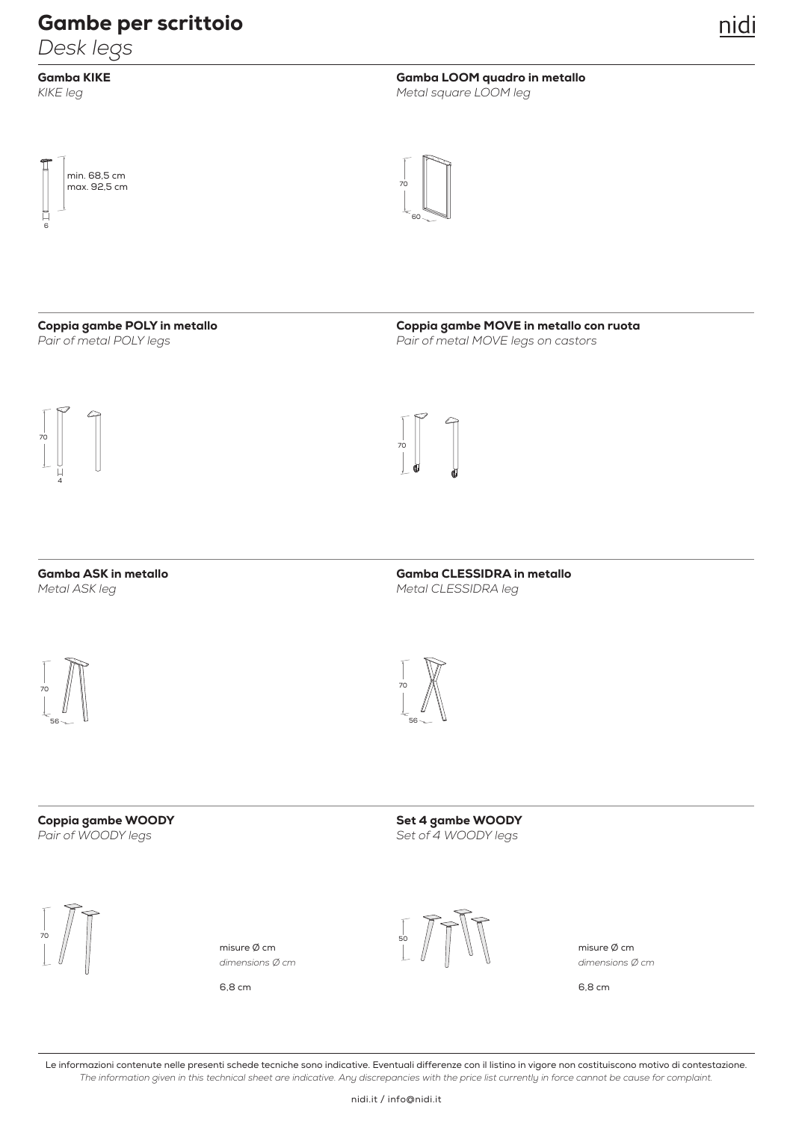# Gambe per scrittoio

*Desk legs*

Gamba KIKE *KIKE leg*

Gamba LOOM quadro in metallo *Metal square LOOM leg*





## Coppia gambe POLY in metallo *Pair of metal POLY legs*

Coppia gambe MOVE in metallo con ruota *Pair of metal MOVE legs on castors*



Gamba ASK in metallo *Metal ASK leg*



Gamba CLESSIDRA in metallo *Metal CLESSIDRA leg*





Coppia gambe WOODY *Pair of WOODY legs*

Set 4 gambe WOODY *Set of 4 WOODY legs*





6,8 cm 6,8 cm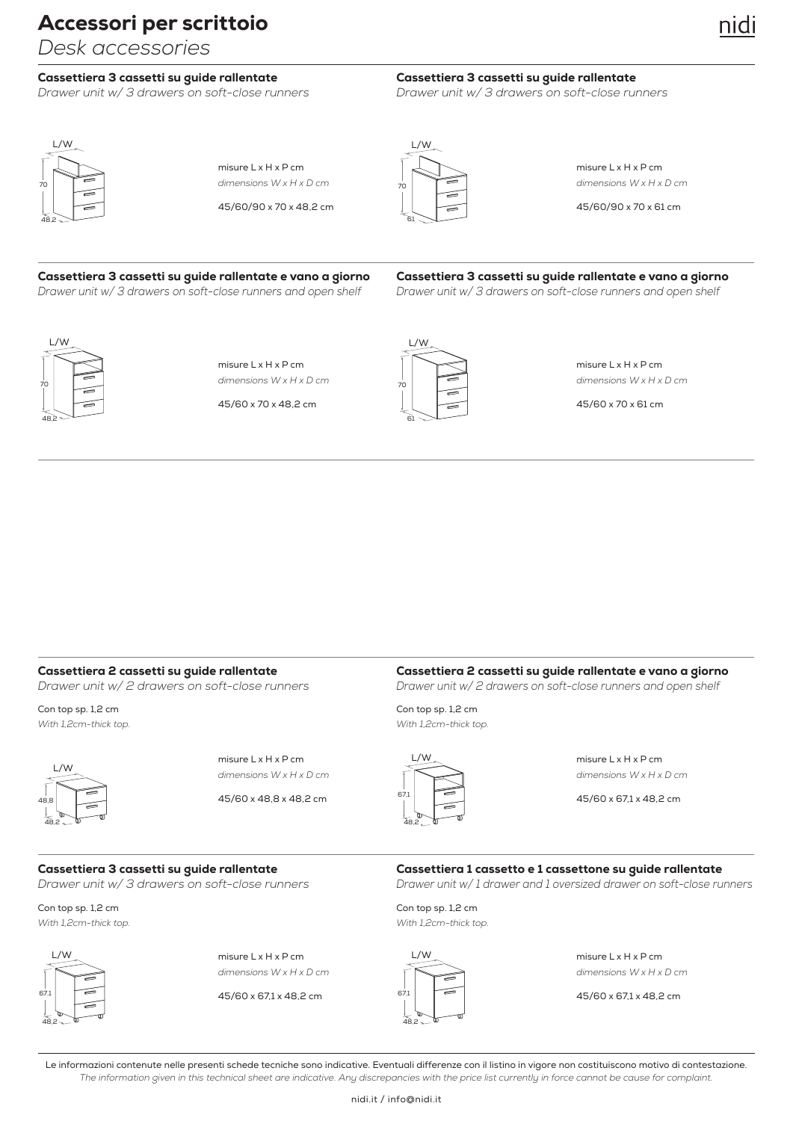*Desk accessories*

# Cassettiera 3 cassetti su guide rallentate

*Drawer unit w/ 3 drawers on soft-close runners*

# nıd

# Cassettiera 3 cassetti su guide rallentate

*Drawer unit w/ 3 drawers on soft-close runners*



misure L x H x P cm *dimensions W x H x D cm*

45/60/90 x 70 x 48,2 cm



misure L x H x P cm *dimensions W x H x D cm*

45/60/90 x 70 x 61 cm

# Cassettiera 3 cassetti su guide rallentate e vano a giorno

*Drawer unit w/ 3 drawers on soft-close runners and open shelf*

Cassettiera 3 cassetti su guide rallentate e vano a giorno *Drawer unit w/ 3 drawers on soft-close runners and open shelf*



misure L x H x P cm *dimensions W x H x D cm*

45/60 x 70 x 48,2 cm



misure L x H x P cm *dimensions W x H x D cm*

45/60 x 70 x 61 cm

# Cassettiera 2 cassetti su guide rallentate

*Drawer unit w/ 2 drawers on soft-close runners*

Con top sp. 1,2 cm *With 1,2cm-thick top.*



misure L x H x P cm *dimensions W x H x D cm*

45/60 x 48,8 x 48,2 cm





misure L x H x P cm *dimensions W x H x D cm*

45/60 x 67,1 x 48,2 cm

### Cassettiera 3 cassetti su guide rallentate

*Drawer unit w/ 3 drawers on soft-close runners*

Con top sp. 1,2 cm *With 1,2cm-thick top.*



misure L x H x P cm *dimensions W x H x D cm*

45/60 x 67,1 x 48,2 cm

Con top sp. 1,2 cm *With 1,2cm-thick top.*



misure L x H x P cm *dimensions W x H x D cm*

45/60 x 67,1 x 48,2 cm

Le informazioni contenute nelle presenti schede tecniche sono indicative. Eventuali differenze con il listino in vigore non costituiscono motivo di contestazione. *The information given in this technical sheet are indicative. Any discrepancies with the price list currently in force cannot be cause for complaint.*

Con top sp. 1,2 cm *With 1,2cm-thick top.*

Cassettiera 1 cassetto e 1 cassettone su guide rallentate *Drawer unit w/ 1 drawer and 1 oversized drawer on soft-close runners*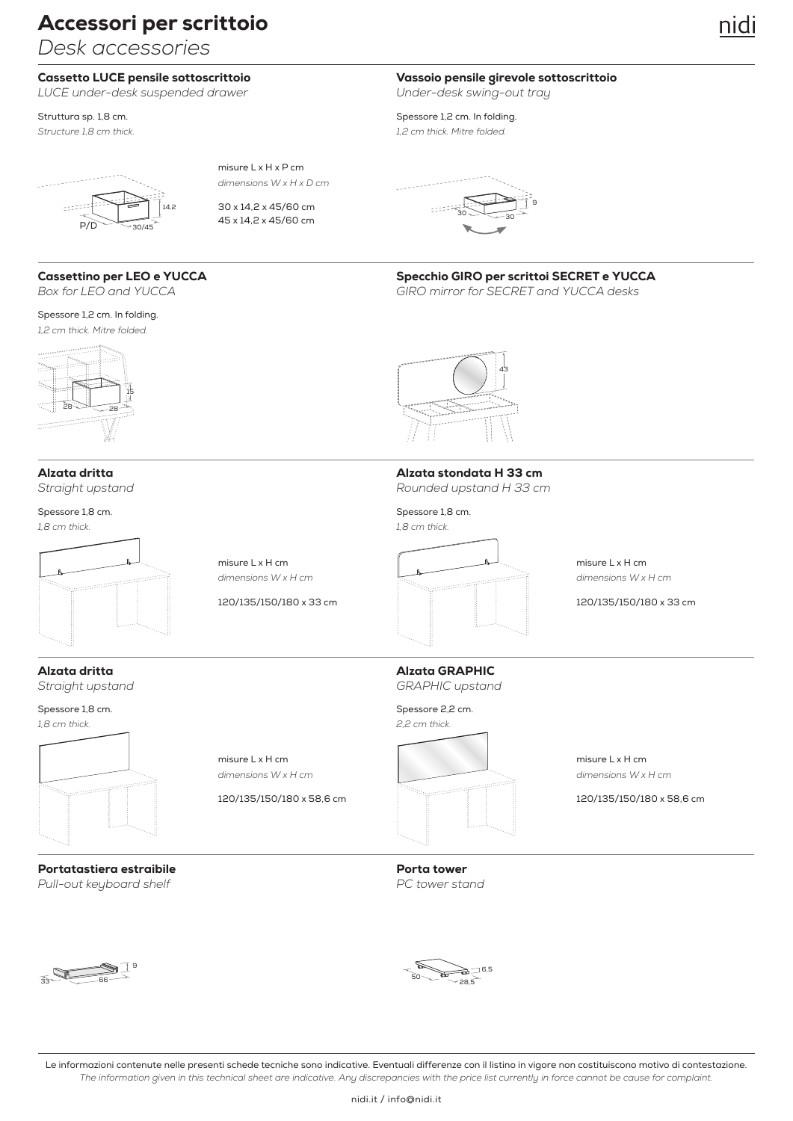*Desk accessories*

## Cassetto LUCE pensile sottoscrittoio

*LUCE under-desk suspended drawer*



misure L x H x P cm *dimensions W x H x D cm*

30 x 14,2 x 45/60 cm 45 x 14,2 x 45/60 cm

Cassettino per LEO e YUCCA

*Box for LEO and YUCCA*

Spessore 1,2 cm. In folding. *1,2 cm thick. Mitre folded.*

 $28 - 28$ 15

Alzata dritta *Straight upstand*

Spessore 1,8 cm. *1,8 cm thick.* 





Alzata dritta *Straight upstand*

Spessore 1,8 cm. *1,8 cm thick.* 



Portatastiera estraibile *Pull-out keyboard shelf*



Alzata GRAPHIC

*GRAPHIC upstand*

Porta tower *PC tower stand*

9



33 **66** 

Le informazioni contenute nelle presenti schede tecniche sono indicative. Eventuali differenze con il listino in vigore non costituiscono motivo di contestazione. *The information given in this technical sheet are indicative. Any discrepancies with the price list currently in force cannot be cause for complaint.*

Vassoio pensile girevole sottoscrittoio *Under-desk swing-out tray*

Struttura sp. 1,8 cm. Superior of the structure of the Spessore 1,2 cm. In folding. *Structure 1,8 cm thick. 1,2 cm thick. Mitre folded.*







*GIRO mirror for SECRET and YUCCA desks*



# Alzata stondata H 33 cm

*Rounded upstand H 33 cm*

Spessore 1,8 cm.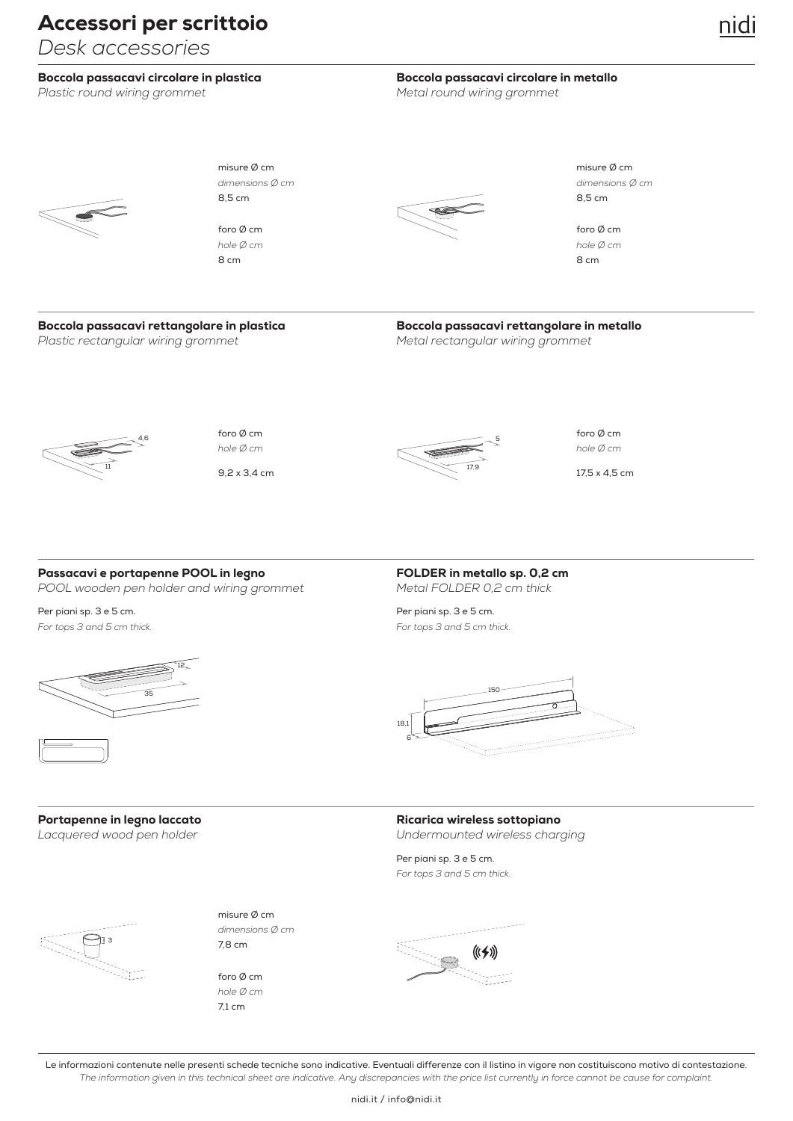*Desk accessories*

### Boccola passacavi circolare in plastica

Plastic round wiring grommet **Metal round wiring grommet** Metal round wiring grommet

# Boccola passacavi circolare in metallo

nidi



8 cm 8 cm foro Ø cm *hole Ø cm*



misure Ø cm misure Ø cm

foro Ø cm *hole Ø cm*

### Boccola passacavi rettangolare in plastica *Plastic rectangular wiring grommet Metal rectangular wiring grommet*

Boccola passacavi rettangolare in metallo



9,2 x 3,4 cm foro Ø cm



foro Ø cm

17,5 x 4,5 cm

## Passacavi e portapenne POOL in legno *POOL wooden pen holder and wiring grommet Metal FOLDER 0,2 cm thick*

Per piani sp. 3 e 5 cm. Per piani sp. 3 e 5 cm.



FOLDER in metallo sp. 0,2 cm

*For tops 3 and 5 cm thick. For tops 3 and 5 cm thick.*



Portapenne in legno laccato



7,8 cm misure Ø cm *dimensions Ø cm*

71 cm foro Ø cm *hole Ø cm*

## Ricarica wireless sottopiano

*Lacquered wood pen holder Undermounted wireless charging*

Per piani sp. 3 e 5 cm. *For tops 3 and 5 cm thick.*